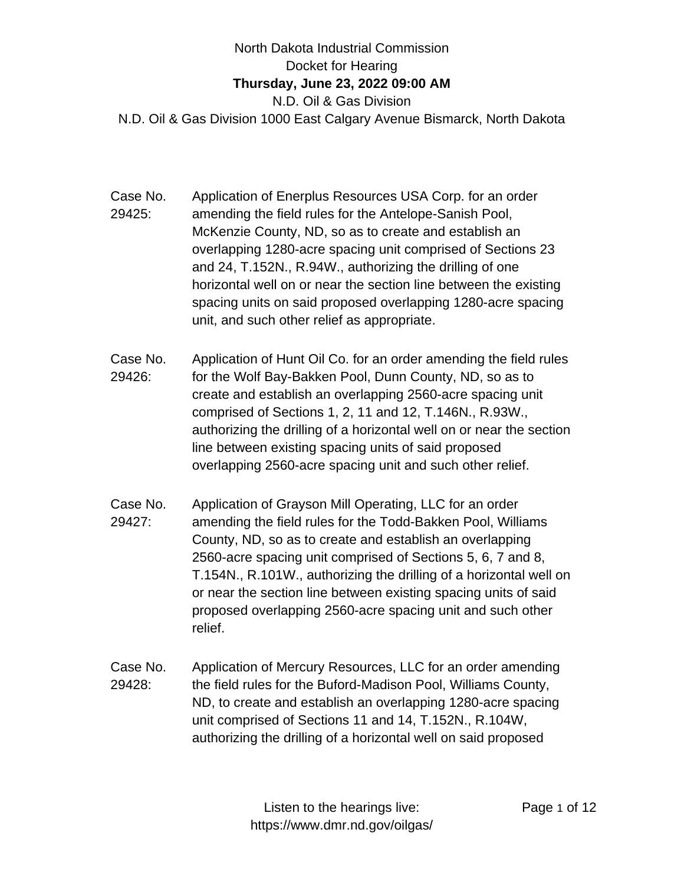## North Dakota Industrial Commission Docket for Hearing **Thursday, June 23, 2022 09:00 AM** N.D. Oil & Gas Division N.D. Oil & Gas Division 1000 East Calgary Avenue Bismarck, North Dakota

- Case No. 29425: Application of Enerplus Resources USA Corp. for an order amending the field rules for the Antelope-Sanish Pool, McKenzie County, ND, so as to create and establish an overlapping 1280-acre spacing unit comprised of Sections 23 and 24, T.152N., R.94W., authorizing the drilling of one horizontal well on or near the section line between the existing spacing units on said proposed overlapping 1280-acre spacing unit, and such other relief as appropriate.
- Case No. 29426: Application of Hunt Oil Co. for an order amending the field rules for the Wolf Bay-Bakken Pool, Dunn County, ND, so as to create and establish an overlapping 2560-acre spacing unit comprised of Sections 1, 2, 11 and 12, T.146N., R.93W., authorizing the drilling of a horizontal well on or near the section line between existing spacing units of said proposed overlapping 2560-acre spacing unit and such other relief.
- Case No. 29427: Application of Grayson Mill Operating, LLC for an order amending the field rules for the Todd-Bakken Pool, Williams County, ND, so as to create and establish an overlapping 2560-acre spacing unit comprised of Sections 5, 6, 7 and 8, T.154N., R.101W., authorizing the drilling of a horizontal well on or near the section line between existing spacing units of said proposed overlapping 2560-acre spacing unit and such other relief.
- Case No. 29428: Application of Mercury Resources, LLC for an order amending the field rules for the Buford-Madison Pool, Williams County, ND, to create and establish an overlapping 1280-acre spacing unit comprised of Sections 11 and 14, T.152N., R.104W, authorizing the drilling of a horizontal well on said proposed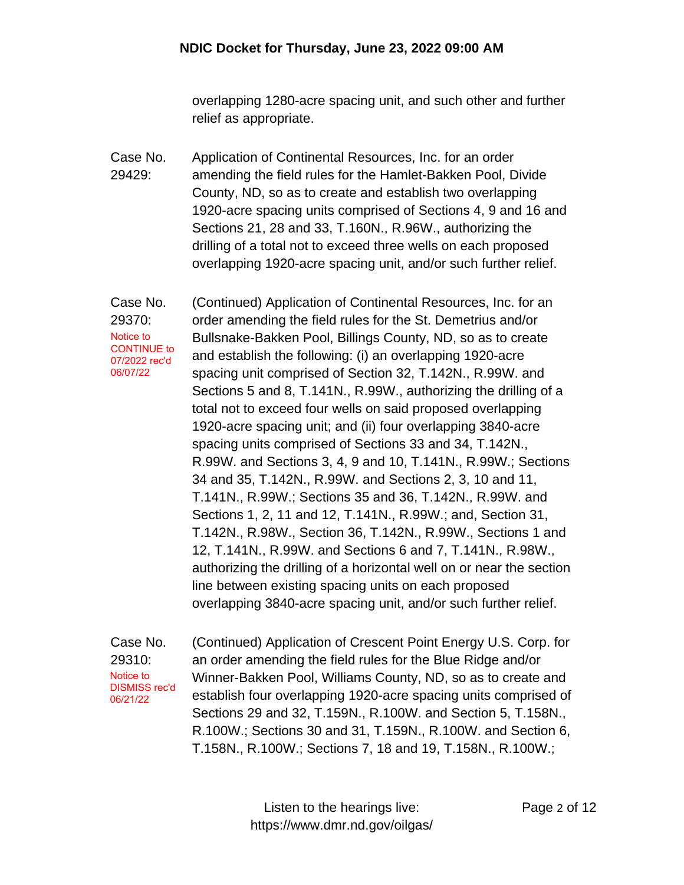overlapping 1280-acre spacing unit, and such other and further relief as appropriate.

Case No. 29429: Application of Continental Resources, Inc. for an order amending the field rules for the Hamlet-Bakken Pool, Divide County, ND, so as to create and establish two overlapping 1920-acre spacing units comprised of Sections 4, 9 and 16 and Sections 21, 28 and 33, T.160N., R.96W., authorizing the drilling of a total not to exceed three wells on each proposed overlapping 1920-acre spacing unit, and/or such further relief.

Case No. 29370: (Continued) Application of Continental Resources, Inc. for an order amending the field rules for the St. Demetrius and/or Bullsnake-Bakken Pool, Billings County, ND, so as to create and establish the following: (i) an overlapping 1920-acre spacing unit comprised of Section 32, T.142N., R.99W. and Sections 5 and 8, T.141N., R.99W., authorizing the drilling of a total not to exceed four wells on said proposed overlapping 1920-acre spacing unit; and (ii) four overlapping 3840-acre spacing units comprised of Sections 33 and 34, T.142N., R.99W. and Sections 3, 4, 9 and 10, T.141N., R.99W.; Sections 34 and 35, T.142N., R.99W. and Sections 2, 3, 10 and 11, T.141N., R.99W.; Sections 35 and 36, T.142N., R.99W. and Sections 1, 2, 11 and 12, T.141N., R.99W.; and, Section 31, T.142N., R.98W., Section 36, T.142N., R.99W., Sections 1 and 12, T.141N., R.99W. and Sections 6 and 7, T.141N., R.98W., authorizing the drilling of a horizontal well on or near the section line between existing spacing units on each proposed overlapping 3840-acre spacing unit, and/or such further relief. Notice to CONTINUE to 07/2022 rec'd 06/07/22

Case No. 29310: (Continued) Application of Crescent Point Energy U.S. Corp. for an order amending the field rules for the Blue Ridge and/or Winner-Bakken Pool, Williams County, ND, so as to create and establish four overlapping 1920-acre spacing units comprised of Sections 29 and 32, T.159N., R.100W. and Section 5, T.158N., R.100W.; Sections 30 and 31, T.159N., R.100W. and Section 6, T.158N., R.100W.; Sections 7, 18 and 19, T.158N., R.100W.; Notice to DISMISS rec'd 06/21/22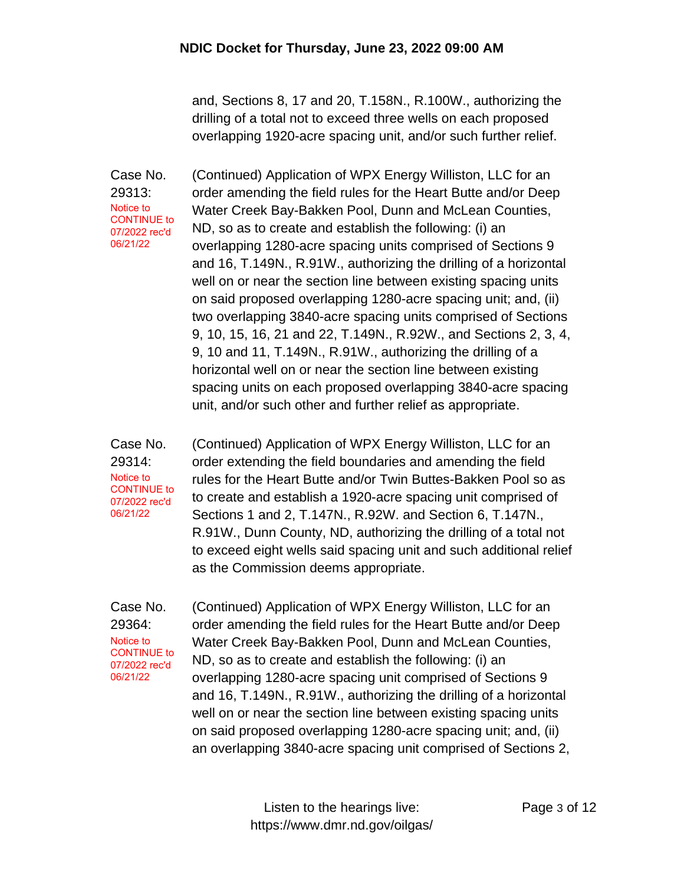and, Sections 8, 17 and 20, T.158N., R.100W., authorizing the drilling of a total not to exceed three wells on each proposed overlapping 1920-acre spacing unit, and/or such further relief.

Case No. 29313: (Continued) Application of WPX Energy Williston, LLC for an order amending the field rules for the Heart Butte and/or Deep Water Creek Bay-Bakken Pool, Dunn and McLean Counties, ND, so as to create and establish the following: (i) an overlapping 1280-acre spacing units comprised of Sections 9 and 16, T.149N., R.91W., authorizing the drilling of a horizontal well on or near the section line between existing spacing units on said proposed overlapping 1280-acre spacing unit; and, (ii) two overlapping 3840-acre spacing units comprised of Sections 9, 10, 15, 16, 21 and 22, T.149N., R.92W., and Sections 2, 3, 4, 9, 10 and 11, T.149N., R.91W., authorizing the drilling of a horizontal well on or near the section line between existing spacing units on each proposed overlapping 3840-acre spacing unit, and/or such other and further relief as appropriate. Notice to CONTINUE to 07/2022 rec'd 06/21/22

Case No. 29314: (Continued) Application of WPX Energy Williston, LLC for an order extending the field boundaries and amending the field rules for the Heart Butte and/or Twin Buttes-Bakken Pool so as to create and establish a 1920-acre spacing unit comprised of Sections 1 and 2, T.147N., R.92W. and Section 6, T.147N., R.91W., Dunn County, ND, authorizing the drilling of a total not to exceed eight wells said spacing unit and such additional relief as the Commission deems appropriate. Notice to CONTINUE to 07/2022 rec'd 06/21/22

Case No. 29364: (Continued) Application of WPX Energy Williston, LLC for an order amending the field rules for the Heart Butte and/or Deep Water Creek Bay-Bakken Pool, Dunn and McLean Counties, ND, so as to create and establish the following: (i) an overlapping 1280-acre spacing unit comprised of Sections 9 and 16, T.149N., R.91W., authorizing the drilling of a horizontal well on or near the section line between existing spacing units on said proposed overlapping 1280-acre spacing unit; and, (ii) an overlapping 3840-acre spacing unit comprised of Sections 2, Notice to CONTINUE to 07/2022 rec'd 06/21/22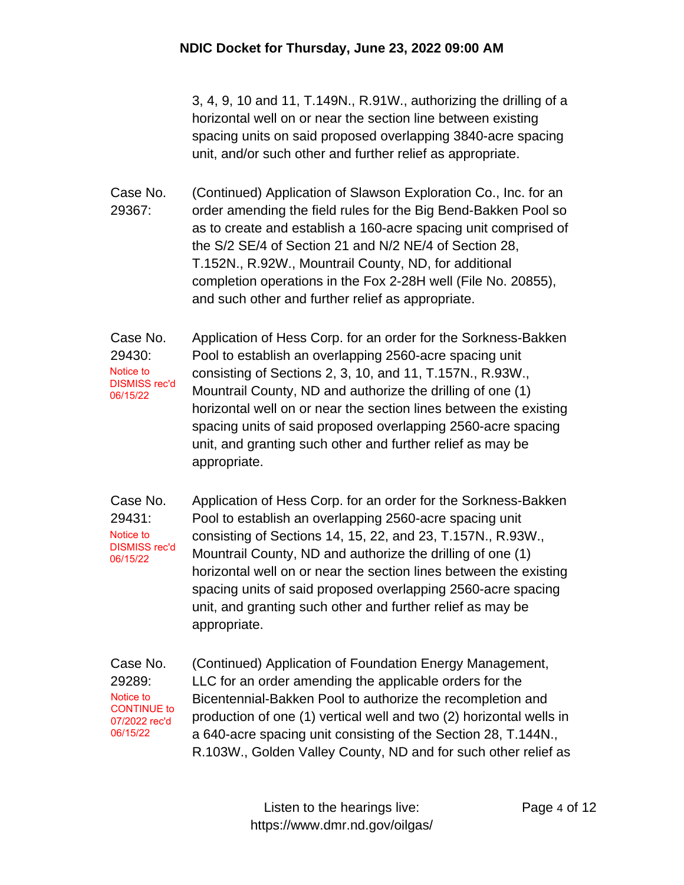3, 4, 9, 10 and 11, T.149N., R.91W., authorizing the drilling of a horizontal well on or near the section line between existing spacing units on said proposed overlapping 3840-acre spacing unit, and/or such other and further relief as appropriate.

Case No. 29367: (Continued) Application of Slawson Exploration Co., Inc. for an order amending the field rules for the Big Bend-Bakken Pool so as to create and establish a 160-acre spacing unit comprised of the S/2 SE/4 of Section 21 and N/2 NE/4 of Section 28, T.152N., R.92W., Mountrail County, ND, for additional completion operations in the Fox 2-28H well (File No. 20855), and such other and further relief as appropriate.

Case No. 29430: Application of Hess Corp. for an order for the Sorkness-Bakken Pool to establish an overlapping 2560-acre spacing unit consisting of Sections 2, 3, 10, and 11, T.157N., R.93W., Mountrail County, ND and authorize the drilling of one (1) horizontal well on or near the section lines between the existing spacing units of said proposed overlapping 2560-acre spacing unit, and granting such other and further relief as may be appropriate. Notice to DISMISS rec'd 06/15/22

Case No. 29431: Application of Hess Corp. for an order for the Sorkness-Bakken Pool to establish an overlapping 2560-acre spacing unit consisting of Sections 14, 15, 22, and 23, T.157N., R.93W., Mountrail County, ND and authorize the drilling of one (1) horizontal well on or near the section lines between the existing spacing units of said proposed overlapping 2560-acre spacing unit, and granting such other and further relief as may be appropriate. Notice to DISMISS rec'd 06/15/22

Case No. 29289: (Continued) Application of Foundation Energy Management, LLC for an order amending the applicable orders for the Bicentennial-Bakken Pool to authorize the recompletion and production of one (1) vertical well and two (2) horizontal wells in a 640-acre spacing unit consisting of the Section 28, T.144N., R.103W., Golden Valley County, ND and for such other relief as Notice to CONTINUE to 07/2022 rec'd 06/15/22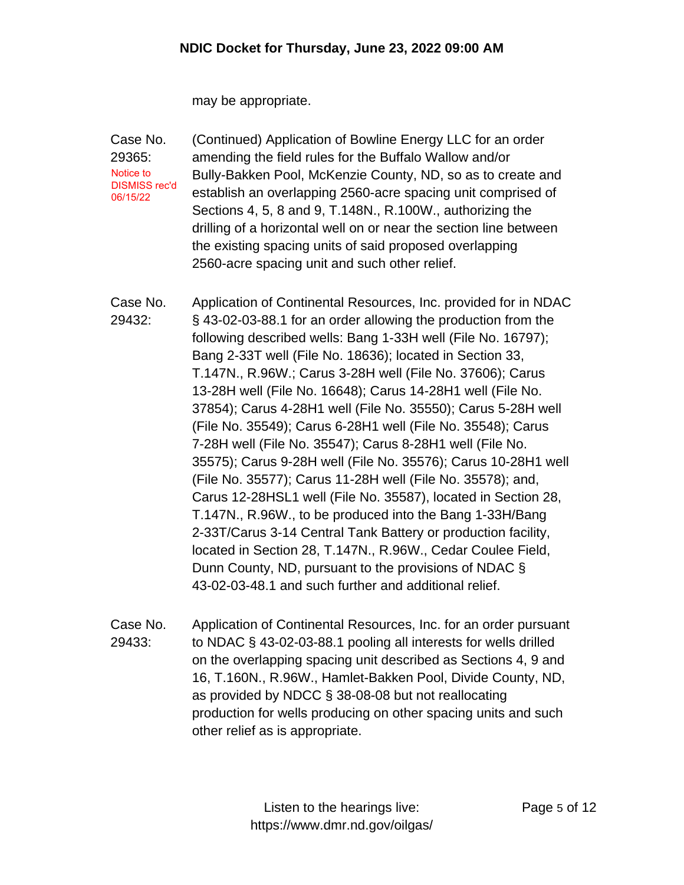may be appropriate.

Case No. 29365: (Continued) Application of Bowline Energy LLC for an order amending the field rules for the Buffalo Wallow and/or Bully-Bakken Pool, McKenzie County, ND, so as to create and establish an overlapping 2560-acre spacing unit comprised of Sections 4, 5, 8 and 9, T.148N., R.100W., authorizing the drilling of a horizontal well on or near the section line between the existing spacing units of said proposed overlapping 2560-acre spacing unit and such other relief. Notice to DISMISS rec'd 06/15/22

Case No. 29432: Application of Continental Resources, Inc. provided for in NDAC § 43-02-03-88.1 for an order allowing the production from the following described wells: Bang 1-33H well (File No. 16797); Bang 2-33T well (File No. 18636); located in Section 33, T.147N., R.96W.; Carus 3-28H well (File No. 37606); Carus 13-28H well (File No. 16648); Carus 14-28H1 well (File No. 37854); Carus 4-28H1 well (File No. 35550); Carus 5-28H well (File No. 35549); Carus 6-28H1 well (File No. 35548); Carus 7-28H well (File No. 35547); Carus 8-28H1 well (File No. 35575); Carus 9-28H well (File No. 35576); Carus 10-28H1 well (File No. 35577); Carus 11-28H well (File No. 35578); and, Carus 12-28HSL1 well (File No. 35587), located in Section 28, T.147N., R.96W., to be produced into the Bang 1-33H/Bang 2-33T/Carus 3-14 Central Tank Battery or production facility, located in Section 28, T.147N., R.96W., Cedar Coulee Field, Dunn County, ND, pursuant to the provisions of NDAC § 43-02-03-48.1 and such further and additional relief.

Case No. 29433: Application of Continental Resources, Inc. for an order pursuant to NDAC § 43-02-03-88.1 pooling all interests for wells drilled on the overlapping spacing unit described as Sections 4, 9 and 16, T.160N., R.96W., Hamlet-Bakken Pool, Divide County, ND, as provided by NDCC § 38-08-08 but not reallocating production for wells producing on other spacing units and such other relief as is appropriate.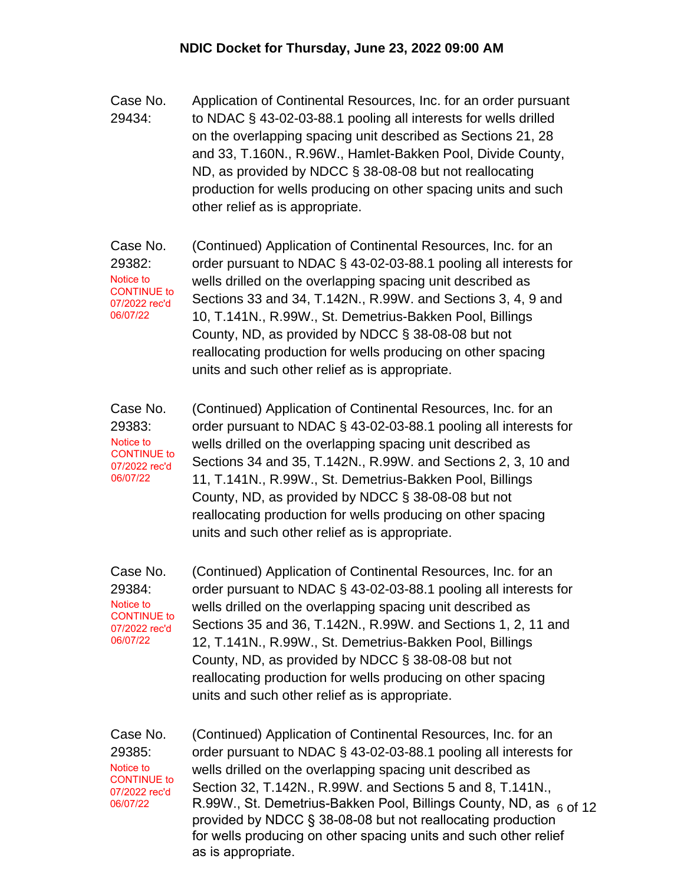- Case No. 29434: Application of Continental Resources, Inc. for an order pursuant to NDAC § 43-02-03-88.1 pooling all interests for wells drilled on the overlapping spacing unit described as Sections 21, 28 and 33, T.160N., R.96W., Hamlet-Bakken Pool, Divide County, ND, as provided by NDCC § 38-08-08 but not reallocating production for wells producing on other spacing units and such other relief as is appropriate.
- Case No. 29382: (Continued) Application of Continental Resources, Inc. for an order pursuant to NDAC § 43-02-03-88.1 pooling all interests for wells drilled on the overlapping spacing unit described as Sections 33 and 34, T.142N., R.99W. and Sections 3, 4, 9 and 10, T.141N., R.99W., St. Demetrius-Bakken Pool, Billings County, ND, as provided by NDCC § 38-08-08 but not reallocating production for wells producing on other spacing units and such other relief as is appropriate. Notice to CONTINUE to 07/2022 rec'd 06/07/22
- Case No. 29383: (Continued) Application of Continental Resources, Inc. for an order pursuant to NDAC § 43-02-03-88.1 pooling all interests for wells drilled on the overlapping spacing unit described as Sections 34 and 35, T.142N., R.99W. and Sections 2, 3, 10 and 11, T.141N., R.99W., St. Demetrius-Bakken Pool, Billings County, ND, as provided by NDCC § 38-08-08 but not reallocating production for wells producing on other spacing units and such other relief as is appropriate. Notice to CONTINUE to 07/2022 rec'd 06/07/22

Case No. 29384: (Continued) Application of Continental Resources, Inc. for an order pursuant to NDAC § 43-02-03-88.1 pooling all interests for wells drilled on the overlapping spacing unit described as Sections 35 and 36, T.142N., R.99W. and Sections 1, 2, 11 and 12, T.141N., R.99W., St. Demetrius-Bakken Pool, Billings County, ND, as provided by NDCC § 38-08-08 but not reallocating production for wells producing on other spacing units and such other relief as is appropriate. Notice to CONTINUE to 07/2022 rec'd 06/07/22

Case No. 29385: Notice to CONTINUE to 07/2022 rec'd 06/07/22

R.99W., St. Demetrius-Bakken Pool, Billings County, ND, as <sub>6 Of</sub> <sub>12</sub> (Continued) Application of Continental Resources, Inc. for an order pursuant to NDAC § 43-02-03-88.1 pooling all interests for wells drilled on the overlapping spacing unit described as Section 32, T.142N., R.99W. and Sections 5 and 8, T.141N., provided by NDCC § 38-08-08 but not reallocating production for wells producing on other spacing units and such other relief as is appropriate.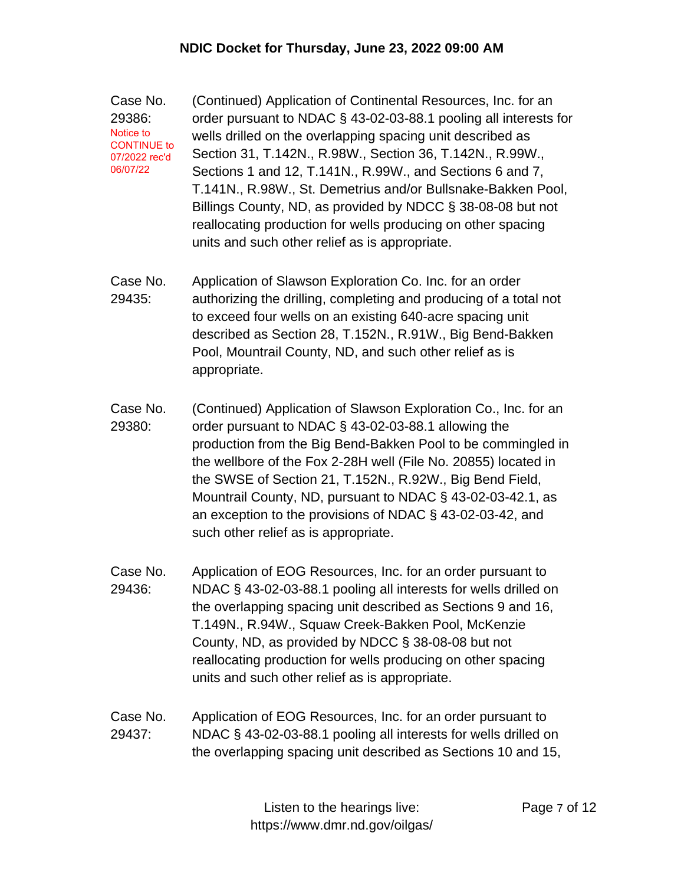Case No. 29386: (Continued) Application of Continental Resources, Inc. for an order pursuant to NDAC § 43-02-03-88.1 pooling all interests for wells drilled on the overlapping spacing unit described as Section 31, T.142N., R.98W., Section 36, T.142N., R.99W., Sections 1 and 12, T.141N., R.99W., and Sections 6 and 7, T.141N., R.98W., St. Demetrius and/or Bullsnake-Bakken Pool, Billings County, ND, as provided by NDCC § 38-08-08 but not reallocating production for wells producing on other spacing units and such other relief as is appropriate. Notice to CONTINUE to 07/2022 rec'd 06/07/22

- Case No. 29435: Application of Slawson Exploration Co. Inc. for an order authorizing the drilling, completing and producing of a total not to exceed four wells on an existing 640-acre spacing unit described as Section 28, T.152N., R.91W., Big Bend-Bakken Pool, Mountrail County, ND, and such other relief as is appropriate.
- Case No. 29380: (Continued) Application of Slawson Exploration Co., Inc. for an order pursuant to NDAC § 43-02-03-88.1 allowing the production from the Big Bend-Bakken Pool to be commingled in the wellbore of the Fox 2-28H well (File No. 20855) located in the SWSE of Section 21, T.152N., R.92W., Big Bend Field, Mountrail County, ND, pursuant to NDAC § 43-02-03-42.1, as an exception to the provisions of NDAC § 43-02-03-42, and such other relief as is appropriate.
- Case No. 29436: Application of EOG Resources, Inc. for an order pursuant to NDAC § 43-02-03-88.1 pooling all interests for wells drilled on the overlapping spacing unit described as Sections 9 and 16, T.149N., R.94W., Squaw Creek-Bakken Pool, McKenzie County, ND, as provided by NDCC § 38-08-08 but not reallocating production for wells producing on other spacing units and such other relief as is appropriate.
- Case No. 29437: Application of EOG Resources, Inc. for an order pursuant to NDAC § 43-02-03-88.1 pooling all interests for wells drilled on the overlapping spacing unit described as Sections 10 and 15,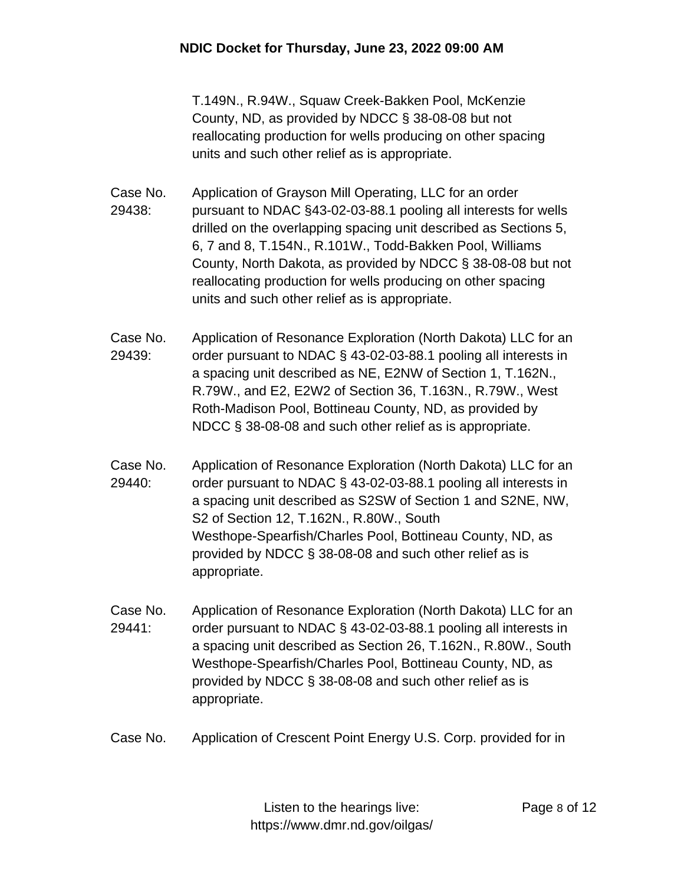T.149N., R.94W., Squaw Creek-Bakken Pool, McKenzie County, ND, as provided by NDCC § 38-08-08 but not reallocating production for wells producing on other spacing units and such other relief as is appropriate.

- Case No. 29438: Application of Grayson Mill Operating, LLC for an order pursuant to NDAC §43-02-03-88.1 pooling all interests for wells drilled on the overlapping spacing unit described as Sections 5, 6, 7 and 8, T.154N., R.101W., Todd-Bakken Pool, Williams County, North Dakota, as provided by NDCC § 38-08-08 but not reallocating production for wells producing on other spacing units and such other relief as is appropriate.
- Case No. 29439: Application of Resonance Exploration (North Dakota) LLC for an order pursuant to NDAC § 43-02-03-88.1 pooling all interests in a spacing unit described as NE, E2NW of Section 1, T.162N., R.79W., and E2, E2W2 of Section 36, T.163N., R.79W., West Roth-Madison Pool, Bottineau County, ND, as provided by NDCC § 38-08-08 and such other relief as is appropriate.
- Case No. 29440: Application of Resonance Exploration (North Dakota) LLC for an order pursuant to NDAC § 43-02-03-88.1 pooling all interests in a spacing unit described as S2SW of Section 1 and S2NE, NW, S2 of Section 12, T.162N., R.80W., South Westhope-Spearfish/Charles Pool, Bottineau County, ND, as provided by NDCC § 38-08-08 and such other relief as is appropriate.
- Case No. 29441: Application of Resonance Exploration (North Dakota) LLC for an order pursuant to NDAC § 43-02-03-88.1 pooling all interests in a spacing unit described as Section 26, T.162N., R.80W., South Westhope-Spearfish/Charles Pool, Bottineau County, ND, as provided by NDCC § 38-08-08 and such other relief as is appropriate.
- Case No. Application of Crescent Point Energy U.S. Corp. provided for in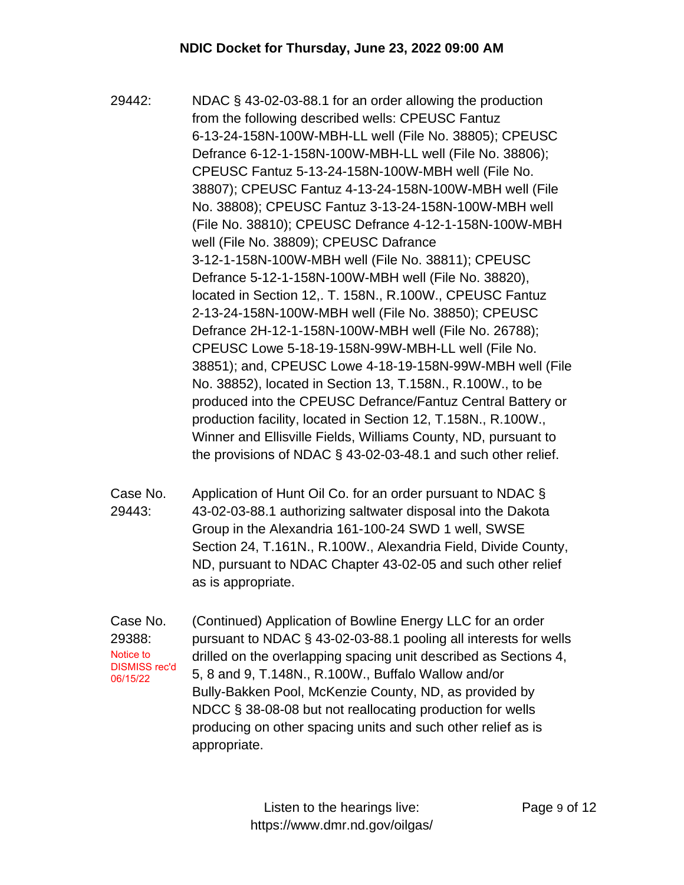- 29442: NDAC § 43-02-03-88.1 for an order allowing the production from the following described wells: CPEUSC Fantuz 6-13-24-158N-100W-MBH-LL well (File No. 38805); CPEUSC Defrance 6-12-1-158N-100W-MBH-LL well (File No. 38806); CPEUSC Fantuz 5-13-24-158N-100W-MBH well (File No. 38807); CPEUSC Fantuz 4-13-24-158N-100W-MBH well (File No. 38808); CPEUSC Fantuz 3-13-24-158N-100W-MBH well (File No. 38810); CPEUSC Defrance 4-12-1-158N-100W-MBH well (File No. 38809); CPEUSC Dafrance 3-12-1-158N-100W-MBH well (File No. 38811); CPEUSC Defrance 5-12-1-158N-100W-MBH well (File No. 38820), located in Section 12,. T. 158N., R.100W., CPEUSC Fantuz 2-13-24-158N-100W-MBH well (File No. 38850); CPEUSC Defrance 2H-12-1-158N-100W-MBH well (File No. 26788); CPEUSC Lowe 5-18-19-158N-99W-MBH-LL well (File No. 38851); and, CPEUSC Lowe 4-18-19-158N-99W-MBH well (File No. 38852), located in Section 13, T.158N., R.100W., to be produced into the CPEUSC Defrance/Fantuz Central Battery or production facility, located in Section 12, T.158N., R.100W., Winner and Ellisville Fields, Williams County, ND, pursuant to the provisions of NDAC § 43-02-03-48.1 and such other relief.
- Case No. 29443: Application of Hunt Oil Co. for an order pursuant to NDAC § 43-02-03-88.1 authorizing saltwater disposal into the Dakota Group in the Alexandria 161-100-24 SWD 1 well, SWSE Section 24, T.161N., R.100W., Alexandria Field, Divide County, ND, pursuant to NDAC Chapter 43-02-05 and such other relief as is appropriate.
- Case No. 29388: (Continued) Application of Bowline Energy LLC for an order pursuant to NDAC § 43-02-03-88.1 pooling all interests for wells drilled on the overlapping spacing unit described as Sections 4, 5, 8 and 9, T.148N., R.100W., Buffalo Wallow and/or Bully-Bakken Pool, McKenzie County, ND, as provided by NDCC § 38-08-08 but not reallocating production for wells producing on other spacing units and such other relief as is appropriate. Notice to DISMISS rec'd 06/15/22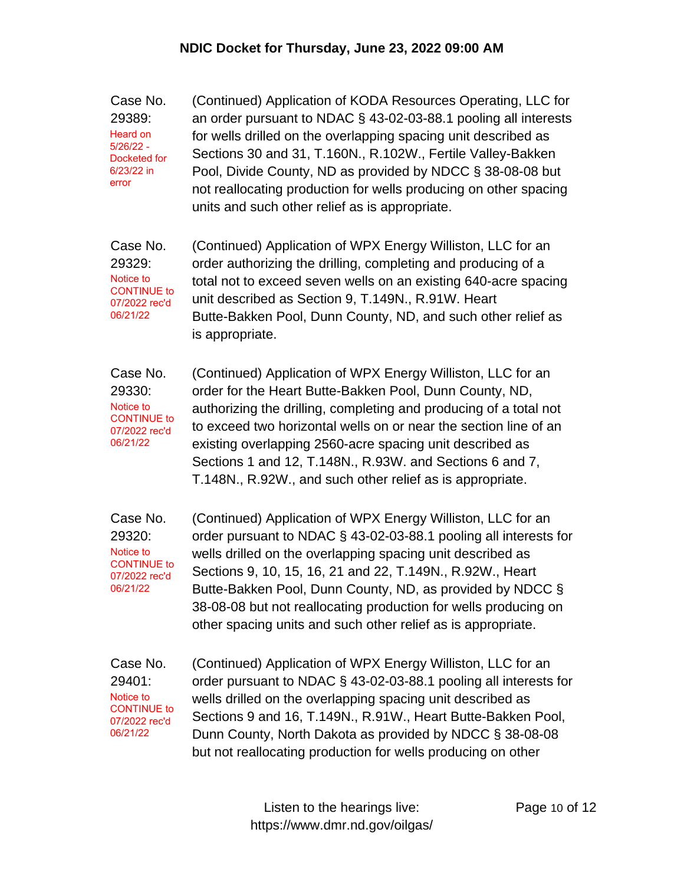Case No. 29389: (Continued) Application of KODA Resources Operating, LLC for an order pursuant to NDAC § 43-02-03-88.1 pooling all interests for wells drilled on the overlapping spacing unit described as Sections 30 and 31, T.160N., R.102W., Fertile Valley-Bakken Pool, Divide County, ND as provided by NDCC § 38-08-08 but not reallocating production for wells producing on other spacing units and such other relief as is appropriate. Heard on 5/26/22 - Docketed for 6/23/22 in error

Case No. 29329: (Continued) Application of WPX Energy Williston, LLC for an order authorizing the drilling, completing and producing of a total not to exceed seven wells on an existing 640-acre spacing unit described as Section 9, T.149N., R.91W. Heart Butte-Bakken Pool, Dunn County, ND, and such other relief as is appropriate. Notice to CONTINUE to 07/2022 rec'd 06/21/22

Case No. 29330: (Continued) Application of WPX Energy Williston, LLC for an order for the Heart Butte-Bakken Pool, Dunn County, ND, authorizing the drilling, completing and producing of a total not to exceed two horizontal wells on or near the section line of an existing overlapping 2560-acre spacing unit described as Sections 1 and 12, T.148N., R.93W. and Sections 6 and 7, T.148N., R.92W., and such other relief as is appropriate. Notice to CONTINUE to 07/2022 rec'd 06/21/22

Case No. 29320: (Continued) Application of WPX Energy Williston, LLC for an order pursuant to NDAC § 43-02-03-88.1 pooling all interests for wells drilled on the overlapping spacing unit described as Sections 9, 10, 15, 16, 21 and 22, T.149N., R.92W., Heart Butte-Bakken Pool, Dunn County, ND, as provided by NDCC § 38-08-08 but not reallocating production for wells producing on other spacing units and such other relief as is appropriate. Notice to CONTINUE to 07/2022 rec'd 06/21/22

Case No. 29401: (Continued) Application of WPX Energy Williston, LLC for an order pursuant to NDAC § 43-02-03-88.1 pooling all interests for wells drilled on the overlapping spacing unit described as Sections 9 and 16, T.149N., R.91W., Heart Butte-Bakken Pool, Dunn County, North Dakota as provided by NDCC § 38-08-08 but not reallocating production for wells producing on other Notice to CONTINUE to 07/2022 rec'd 06/21/22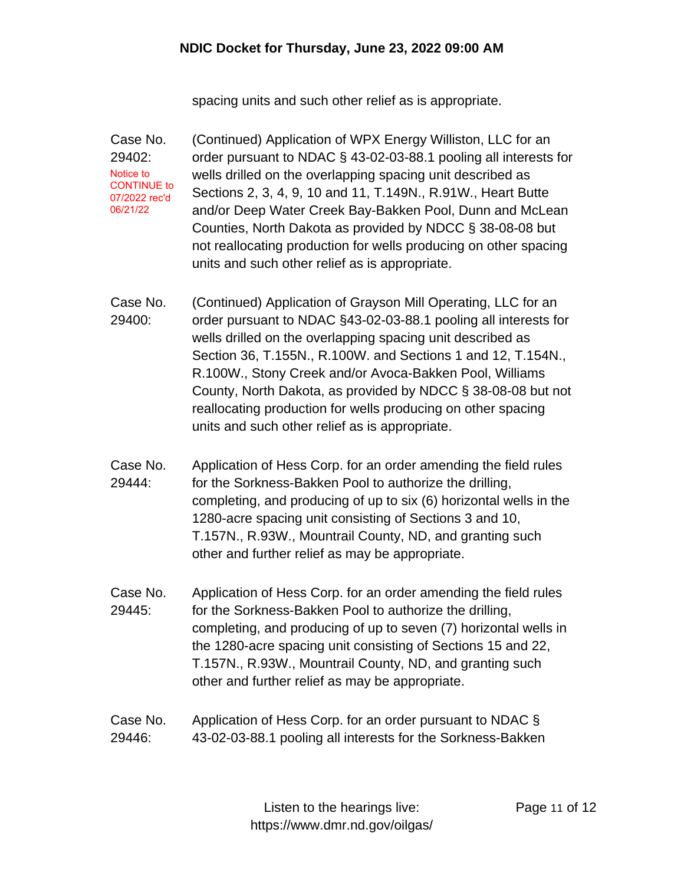spacing units and such other relief as is appropriate.

Case No. 29402: (Continued) Application of WPX Energy Williston, LLC for an order pursuant to NDAC § 43-02-03-88.1 pooling all interests for wells drilled on the overlapping spacing unit described as Sections 2, 3, 4, 9, 10 and 11, T.149N., R.91W., Heart Butte and/or Deep Water Creek Bay-Bakken Pool, Dunn and McLean Counties, North Dakota as provided by NDCC § 38-08-08 but not reallocating production for wells producing on other spacing units and such other relief as is appropriate. Notice to CONTINUE to 07/2022 rec'd 06/21/22

Case No. 29400: (Continued) Application of Grayson Mill Operating, LLC for an order pursuant to NDAC §43-02-03-88.1 pooling all interests for wells drilled on the overlapping spacing unit described as Section 36, T.155N., R.100W. and Sections 1 and 12, T.154N., R.100W., Stony Creek and/or Avoca-Bakken Pool, Williams County, North Dakota, as provided by NDCC § 38-08-08 but not reallocating production for wells producing on other spacing units and such other relief as is appropriate.

- Case No. 29444: Application of Hess Corp. for an order amending the field rules for the Sorkness-Bakken Pool to authorize the drilling, completing, and producing of up to six (6) horizontal wells in the 1280-acre spacing unit consisting of Sections 3 and 10, T.157N., R.93W., Mountrail County, ND, and granting such other and further relief as may be appropriate.
- Case No. 29445: Application of Hess Corp. for an order amending the field rules for the Sorkness-Bakken Pool to authorize the drilling, completing, and producing of up to seven (7) horizontal wells in the 1280-acre spacing unit consisting of Sections 15 and 22, T.157N., R.93W., Mountrail County, ND, and granting such other and further relief as may be appropriate.

## Case No. 29446: Application of Hess Corp. for an order pursuant to NDAC § 43-02-03-88.1 pooling all interests for the Sorkness-Bakken